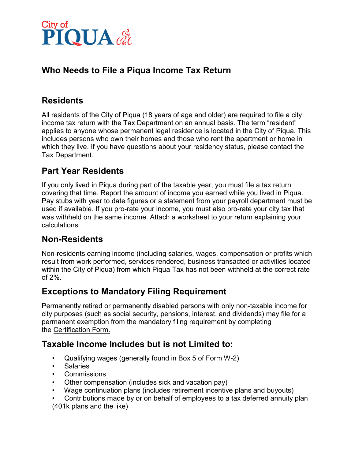

### **Who Needs to File a Piqua Income Tax Return**

## **Residents**

All residents of the City of Piqua (18 years of age and older) are required to file a city income tax return with the Tax Department on an annual basis. The term "resident" applies to anyone whose permanent legal residence is located in the City of Piqua. This includes persons who own their homes and those who rent the apartment or home in which they live. If you have questions about your residency status, please contact the Tax Department.

#### **Part Year Residents**

If you only lived in Piqua during part of the taxable year, you must file a tax return covering that time. Report the amount of income you earned while you lived in Piqua. Pay stubs with year to date figures or a statement from your payroll department must be used if available. If you pro-rate your income, you must also pro-rate your city tax that was withheld on the same income. Attach a worksheet to your return explaining your calculations.

#### **Non-Residents**

Non-residents earning income (including salaries, wages, compensation or profits which result from work performed, services rendered, business transacted or activities located within the City of Piqua) from which Piqua Tax has not been withheld at the correct rate of 2%.

#### **Exceptions to Mandatory Filing Requirement**

Permanently retired or permanently disabled persons with only non-taxable income for city purposes (such as social security, pensions, interest, and dividends) may file for a permanent exemption from the mandatory filing requirement by completing the Certification Form.

#### **Taxable Income Includes but is not Limited to:**

- Qualifying wages (generally found in Box 5 of Form W-2)
- Salaries
- Commissions
- Other compensation (includes sick and vacation pay)
- Wage continuation plans (includes retirement incentive plans and buyouts)

• Contributions made by or on behalf of employees to a tax deferred annuity plan (401k plans and the like)